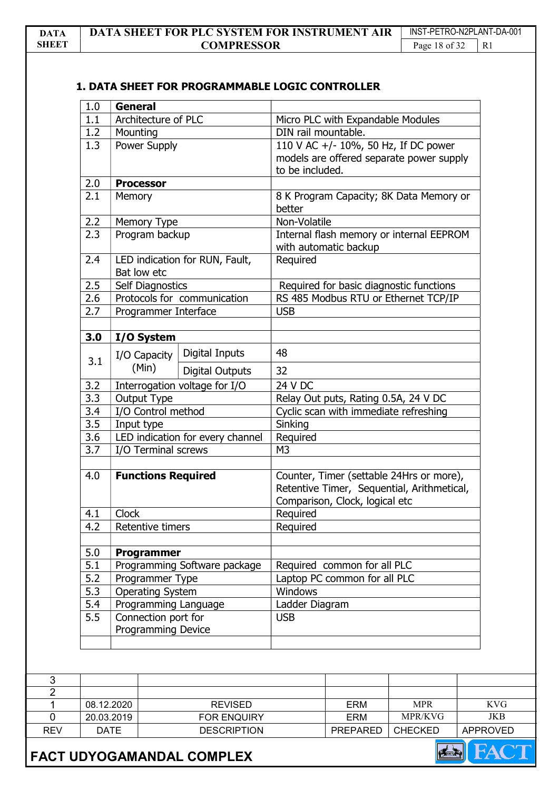# 1. DATA SHEET FOR PROGRAMMABLE LOGIC CONTROLLER

| 1.0 | <b>General</b>          |                                  |                                         |                                                                                        |                                          |
|-----|-------------------------|----------------------------------|-----------------------------------------|----------------------------------------------------------------------------------------|------------------------------------------|
| 1.1 |                         | Architecture of PLC              |                                         | Micro PLC with Expandable Modules                                                      |                                          |
| 1.2 | Mounting                |                                  |                                         | DIN rail mountable.                                                                    |                                          |
| 1.3 |                         | Power Supply                     |                                         |                                                                                        | 110 V AC +/- 10%, 50 Hz, If DC power     |
|     |                         |                                  |                                         |                                                                                        | models are offered separate power supply |
|     |                         |                                  |                                         | to be included.                                                                        |                                          |
| 2.0 | <b>Processor</b>        |                                  |                                         |                                                                                        |                                          |
| 2.1 | Memory                  |                                  |                                         |                                                                                        | 8 K Program Capacity; 8K Data Memory or  |
|     |                         |                                  |                                         |                                                                                        |                                          |
| 2.2 | Memory Type             |                                  | Non-Volatile                            |                                                                                        |                                          |
| 2.3 | Program backup          |                                  |                                         |                                                                                        | Internal flash memory or internal EEPROM |
|     |                         |                                  |                                         | with automatic backup                                                                  |                                          |
| 2.4 |                         | LED indication for RUN, Fault,   |                                         |                                                                                        |                                          |
|     | Bat low etc             |                                  |                                         |                                                                                        |                                          |
| 2.5 | <b>Self Diagnostics</b> |                                  | Required for basic diagnostic functions |                                                                                        |                                          |
| 2.6 |                         | Protocols for communication      | RS 485 Modbus RTU or Ethernet TCP/IP    |                                                                                        |                                          |
| 2.7 |                         | Programmer Interface             |                                         |                                                                                        |                                          |
|     |                         |                                  |                                         |                                                                                        |                                          |
| 3.0 | I/O System              |                                  |                                         |                                                                                        |                                          |
|     | I/O Capacity            | Digital Inputs                   | 48                                      |                                                                                        |                                          |
| 3.1 | (Min)                   | <b>Digital Outputs</b>           | 32                                      |                                                                                        |                                          |
|     |                         |                                  | 24 V DC                                 |                                                                                        |                                          |
| 3.2 |                         | Interrogation voltage for I/O    |                                         |                                                                                        |                                          |
| 3.3 | Output Type             |                                  |                                         |                                                                                        | Relay Out puts, Rating 0.5A, 24 V DC     |
| 3.4 |                         | I/O Control method               |                                         |                                                                                        | Cyclic scan with immediate refreshing    |
| 3.5 | Input type              |                                  | Sinking                                 |                                                                                        |                                          |
| 3.6 |                         | LED indication for every channel | Required                                |                                                                                        |                                          |
| 3.7 | I/O Terminal screws     |                                  | M <sub>3</sub>                          |                                                                                        |                                          |
|     |                         | <b>Functions Required</b>        |                                         |                                                                                        |                                          |
| 4.0 |                         |                                  |                                         | Counter, Timer (settable 24Hrs or more),<br>Retentive Timer, Sequential, Arithmetical, |                                          |
|     |                         |                                  |                                         |                                                                                        |                                          |
|     |                         |                                  | Comparison, Clock, logical etc          |                                                                                        |                                          |
| 4.1 | Clock                   |                                  | Required<br>Required                    |                                                                                        |                                          |
| 4.2 |                         | Retentive timers                 |                                         |                                                                                        |                                          |
| 5.0 | Programmer              |                                  |                                         |                                                                                        |                                          |
| 5.1 |                         | Programming Software package     |                                         | Required common for all PLC                                                            |                                          |
| 5.2 |                         | Programmer Type                  |                                         | Laptop PC common for all PLC                                                           |                                          |
| 5.3 |                         | <b>Operating System</b>          |                                         |                                                                                        |                                          |
| 5.4 | Programming Language    |                                  | Windows<br>Ladder Diagram               |                                                                                        |                                          |
| 5.5 | Connection port for     |                                  | <b>USB</b>                              |                                                                                        |                                          |
|     |                         | <b>Programming Device</b>        |                                         |                                                                                        |                                          |
|     |                         |                                  |                                         |                                                                                        |                                          |
|     |                         |                                  |                                         |                                                                                        |                                          |
|     |                         |                                  |                                         |                                                                                        |                                          |
|     |                         |                                  |                                         |                                                                                        |                                          |
|     |                         |                                  |                                         |                                                                                        |                                          |
|     | 08.12.2020              | <b>REVISED</b>                   |                                         | <b>ERM</b>                                                                             | <b>MPR</b>                               |
|     | 20.03.2019              | FOR ENQUIRY                      |                                         | <b>ERM</b>                                                                             | MPR/KVG                                  |

REV DATE DESCRIPTION PREPARED CHECKED APPROVED FACT UDYOGAMANDAL COMPLEX

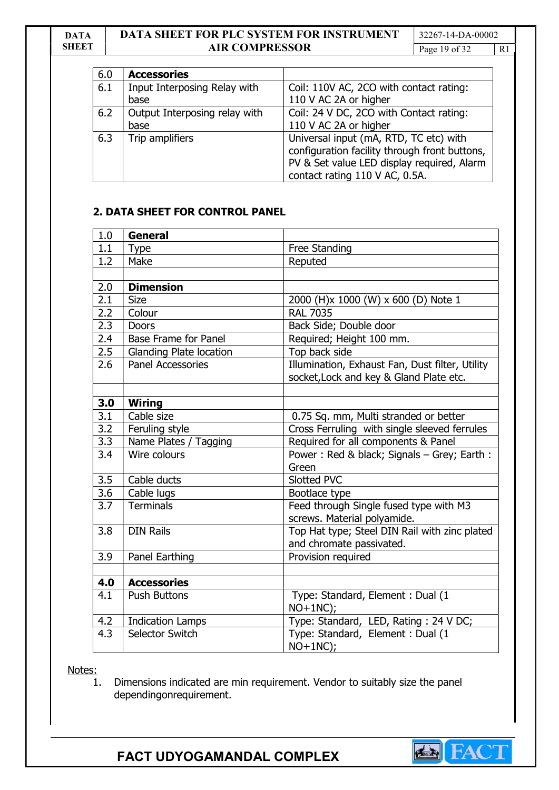#### DATA **SHEET**

# DATA SHEET FOR PLC SYSTEM FOR INSTRUMENT AIR COMPRESSOR

32267-14-DA-00002 Page 19 of 32

| 6.0 | <b>Accessories</b>            |                                                                                         |
|-----|-------------------------------|-----------------------------------------------------------------------------------------|
| 6.1 | Input Interposing Relay with  | Coil: 110V AC, 2CO with contact rating:                                                 |
|     | base                          | 110 V AC 2A or higher                                                                   |
| 6.2 | Output Interposing relay with | Coil: 24 V DC, 2CO with Contact rating:                                                 |
|     | base                          | 110 V AC 2A or higher                                                                   |
| 6.3 | Trip amplifiers               | Universal input (mA, RTD, TC etc) with<br>configuration facility through front buttons, |
|     |                               | PV & Set value LED display required, Alarm<br>contact rating 110 V AC, 0.5A.            |

## 2. DATA SHEET FOR CONTROL PANEL

| 1.0              | <b>General</b>                 |                                                 |  |
|------------------|--------------------------------|-------------------------------------------------|--|
| 1.1              | <b>Type</b>                    | Free Standing                                   |  |
| 1.2              | Make                           | Reputed                                         |  |
|                  |                                |                                                 |  |
| 2.0              | <b>Dimension</b>               |                                                 |  |
| 2.1              | <b>Size</b>                    | 2000 (H)x 1000 (W) x 600 (D) Note 1             |  |
| 2.2              | Colour                         | <b>RAL 7035</b>                                 |  |
| 2.3              | <b>Doors</b>                   | Back Side; Double door                          |  |
| 2.4              | <b>Base Frame for Panel</b>    | Required; Height 100 mm.                        |  |
| 2.5              | <b>Glanding Plate location</b> | Top back side                                   |  |
| 2.6              | <b>Panel Accessories</b>       | Illumination, Exhaust Fan, Dust filter, Utility |  |
|                  |                                | socket, Lock and key & Gland Plate etc.         |  |
|                  |                                |                                                 |  |
| 3.0              | <b>Wiring</b>                  |                                                 |  |
| 3.1              | Cable size                     | 0.75 Sq. mm, Multi stranded or better           |  |
| 3.2              | Feruling style                 | Cross Ferruling with single sleeved ferrules    |  |
| 3.3              | Name Plates / Tagging          | Required for all components & Panel             |  |
| 3.4              | Wire colours                   | Power: Red & black; Signals - Grey; Earth:      |  |
|                  |                                | Green                                           |  |
| 3.5              | Cable ducts                    | Slotted PVC                                     |  |
| $\overline{3.6}$ | Cable lugs                     | Bootlace type                                   |  |
| 3.7              | <b>Terminals</b>               | Feed through Single fused type with M3          |  |
|                  |                                | screws. Material polyamide.                     |  |
| 3.8              | <b>DIN Rails</b>               | Top Hat type; Steel DIN Rail with zinc plated   |  |
|                  |                                | and chromate passivated.                        |  |
| 3.9              | Panel Earthing                 | Provision required                              |  |
|                  |                                |                                                 |  |
| 4.0              | <b>Accessories</b>             |                                                 |  |
| 4.1              | <b>Push Buttons</b>            | Type: Standard, Element : Dual (1               |  |
|                  |                                | $NO+1NC);$                                      |  |
| 4.2              | <b>Indication Lamps</b>        | Type: Standard, LED, Rating: 24 V DC;           |  |
| 4.3              | Selector Switch                | Type: Standard, Element : Dual (1               |  |
|                  |                                | $NO+1NC);$                                      |  |

Notes:

1. Dimensions indicated are min requirement. Vendor to suitably size the panel dependingonrequirement.

FACT UDYOGAMANDAL COMPLEX